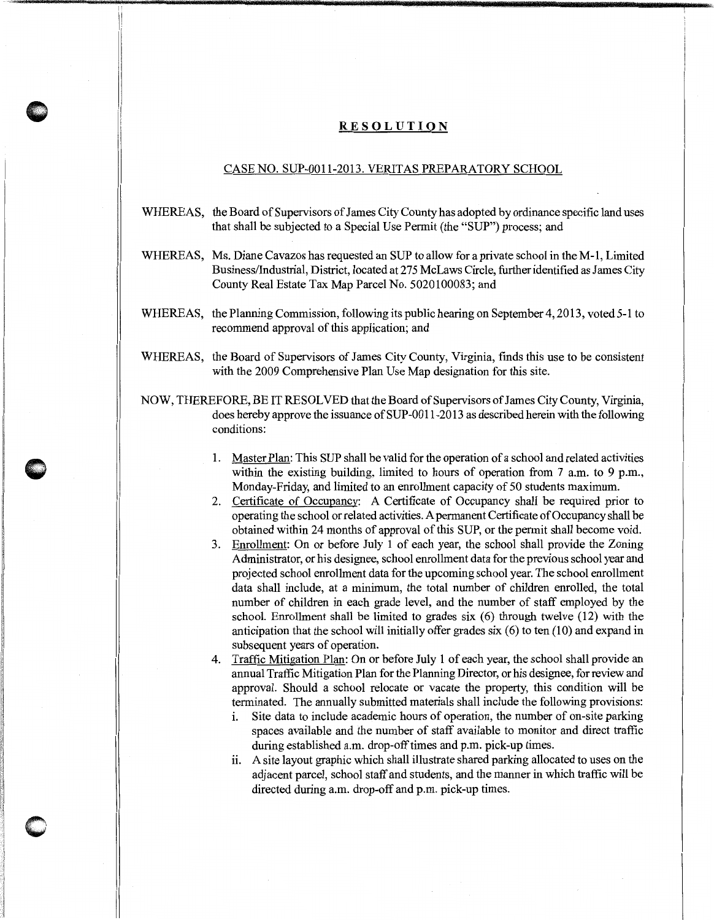## **RESOLUTION**

## CASE NO. SUP-0011-2013. VERITAS PREPARATORY SCHOOL

- WHEREAS, the Board of Supervisors of James City County has adopted by ordinance specific land uses that shall be subjected to a Special Use Permit (the "SUP") process; and
- WHEREAS, Ms. Diane Cavazos has requested an SUP to allow for a private school in theM-1, Limited Business/Industrial, District, located at 275 McLaws Circle, further identified as James City County Real Estate Tax Map Parcel No. 5020100083; and
- WHEREAS, the Planning Commission, following its public hearing on September 4, 2013, voted 5-1 to recommend approval of this application; and
- WHEREAS, the Board of Supervisors of James City County, Virginia, finds this use to be consistent with the 2009 Comprehensive Plan Use Map designation for this site.
- NOW, THEREFORE, BE IT RESOLVED that the Board of Supervisors of James City County, Virginia, does hereby approve the issuance of SUP-0011-2013 as described herein with the following conditions:
	- 1. Master Plan: This SUP shall be valid for the operation of a school and related activities within the existing building, limited to hours of operation from 7 a.m. to 9 p.m., Monday-Friday, and limited to an enrollment capacity of 50 students maximum.
	- 2. Certificate of Occupancy: A Certificate of Occupancy shall be required prior to operating the school or related activities. A permanent Certificate of Occupancy shall be obtained within 24 months of approval of this SUP, or the permit shall become void.
	- 3. Enrollment: On or before July 1 of each year, the school shall provide the Zoning Administrator, or his designee, school enrollment data for the previous school year and projected school enrollment data for the upcoming school year. The school enrollment data shall include, at a minimum, the total number of children enrolled, the total number of children in each grade level, and the number of staff employed by the school. Enrollment shall be limited to grades six (6) through twelve (12) with the anticipation that the school will initially offer grades six (6) to ten (10) and expand in subsequent years of operation.
	- 4. Traffic Mitigation Plan: On or before July 1 of each year, the school shall provide an annual Traffic Mitigation Plan for the Planning Director, or his designee, for review and approval. Should a school relocate or vacate the property, this condition will be terminated. The annually submitted materials shall include the following provisions:
		- i. Site data to include academic hours of operation, the number of on-site parking spaces available and the number of staff available to monitor and direct traffic during established a.m. drop-off times and p.m. pick-up times.
		- ii. A site layout graphic which shall illustrate shared parking allocated to uses on the adjacent parcel, school staff and students, and the manner in which traffic will be directed during a.m. drop-off and p.m. pick-up times.

 $\bigcirc$